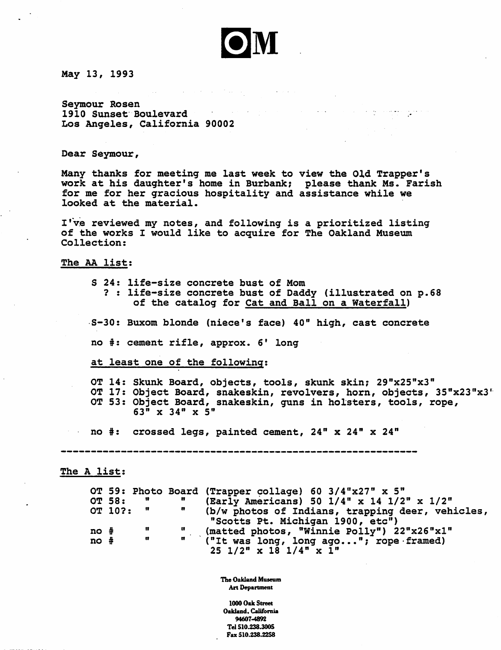

 $\alpha$  , and  $\bullet$  and  $\alpha$  , and  $\alpha$  , and  $\alpha$ 

May 13, 1993

Sevmour Rosen 1910 Sunset Boulevard  $\mathcal{L}^{\mathcal{L}}(\mathcal{A})$  . The set of  $\mathcal{L}^{\mathcal{L}}(\mathcal{A})$ Los Angeles, California 90002

Dear Seymour,

Many thanks for meeting me last week to view the Old Trapper's work at his daughter's home in Burbank; please thank Ms. Farish for me for her gracious hospitality and assistance while we looked at the material.

I've reviewed my notes, and following is a prioritized listing of the works I would like to acquire for The Oakland Museum Collection:

The AA list:

- S 24: life-size concrete bust of Mom ? : life-size concrete bust of Daddy (illustrated on p.68 of the catalog for Cat and Ball on a Waterfall)
- S-30: Buxom blonde (niece's face) 40" high, cast concrete

no #: cement rifle, approx. 6' long

at least one of the following:

OT 14: Skunk Board, objects, tools, skunk skin; 29"x25"x3" OT 17: Object Board, snakeskin, revolvers, horn, objects, 35"x23"x3" OT 53: Object Board, snakeskin, guns in holsters, tools, rope,  $63^{\overline{n}}$  x 34" x 5"

no  $\#$ : crossed legs, painted cement,  $24$ " x  $24$ " x  $24$ "

The A list:

|          |         |              |              | OT 59: Photo Board (Trapper collage) 60 3/4"x27" x 5"                                             |
|----------|---------|--------------|--------------|---------------------------------------------------------------------------------------------------|
|          | OT 58:  | n            | $\mathbf{H}$ | (Early Americans) 50 1/4" x 14 1/2" x 1/2"                                                        |
|          | OT 10?: | $\mathbf{u}$ | $\mathbf{r}$ | (b/w photos of Indians, trapping deer, vehicles,<br>"Scotts Pt. Michigan 1900, etc")              |
| no #     |         | n            |              | (matted photos, "Winnie Polly") 22"x26"x1"                                                        |
| $no$ $#$ |         | $\mathbf{u}$ |              | " ("It was long, long ago"; rope framed)<br>$25 \frac{1}{2^n} \times 18 \frac{1}{4^n} \times 1^n$ |

The Oakland Museum Art Department

1000 Oak Street Oakland. California 94607-4892 Tel510.238.300S Fax 510.238.2258